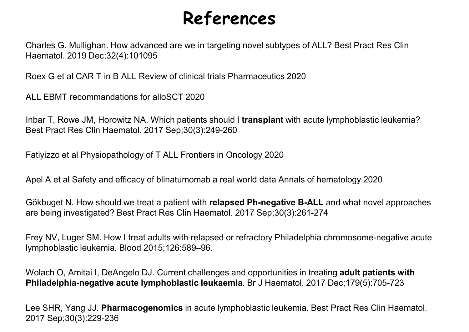## References

**References**<br>Charles G. Mullighan. How advanced are we in targeting novel subtypes of ALL? Best Pract Res Clin<br>Roex G et al CAR T in B ALL Review of clinical trials Pharmaceutics 2020 Haematol. 2019 Dec;32(4):101095 **References**<br>Charles G. Mullighan. How advanced are we in targeting novel subtypes of ALL? Best Pract Res CI<br>Roex G et al CAR T in B ALL Review of clinical trials Pharmaceutics 2020<br>ALL EBMT recommandations for alloSCT 202

**References**<br>Charles G. Mullighan. How advanced are we in targeting novel subtypes of ALL? Best Pranchematol. 2019 Dec;32(4):101095<br>Roex G et al CAR T in B ALL Review of clinical trials Pharmaceutics 2020<br>ALL EBMT recomman **INDENTIFY INDEX SCALL AND SET CONDUCTS CONDUCTS AND MEDIT AT ABOVE SHOWS THE MARK THAN THE ROW JALL REVIEW OF CONDUCT AND MORE THAN THE BALL REVIEW OF Clinical trials Pharmaceutics 2020<br>
ALL EBMT recommandations for alloS References**<br>Charles G. Mullighan. How advanced are we in targeting novel subtypes of ALL?<br>Haematol. 2019 Dec;32(4):101095<br>Roex G et al CAR T in B ALL Review of clinical trials Pharmaceutics 2020<br>ALL EBMT recommandations f **References**<br>Charles G. Mullighan. How advanced are we in targeting novel subtypes of ALL? Best Pract F<br>Haematol. 2019 Dec;32(4):101095<br>Roex G et al CAR T in B ALL Review of clinical trials Pharmaceutics 2020<br>ALL EBMT reco Charles G. Mullighan. How advanced are we in targeting novel subtypes of ALL? Best Pract Res Clin<br>Haematol. 2019 Dec;32(4):101095<br>Roex G et al CAR T in B ALL Review of clinical trials Pharmaceutics 2020<br>ALL EBMT recommanda lnbar T, Rowe JM, Horowitz NA. Which patients should I trans<br>Best Pract Res Clin Haematol. 2017 Sep;30(3):249-260<br>Fatiyizzo et al Physiopathology of T ALL Frontiers in Oncology<br>Apel A et al Safety and efficacy of blinatumo

Roex G et al CAR T in B ALL Review of clinical trials Pharmaceutics 2020<br>ALL EBMT recommandations for alloSCT 2020<br>Inbar T, Rowe JM, Horowitz NA. Which patients should **I transplant** with acute lymphoblastic leukemia?<br>Best Roex G et al CAR T in B ALL Review of clinical trials Pharmaceutics 2020<br>ALL EBMT recommandations for alloSCT 2020<br>Inbar T, Rowe JM, Horowitz NA. Which patients should I **transplant** with acute lymphoblastic leukemia?<br>Best

ALL EBMT recommandations for alloSCT 2020<br>Inbar T, Rowe JM, Horowitz NA. Which patients should I transplant with acute lymphoblastic leukemia?<br>Best Pract Res Clin Haematol. 2017 Sep;30(3):249-260<br>Fatiyizzo et al Physiopath Best Pract Res Clin Haematol. 2017 Sep;30(3):249-260<br>Fatiyizzo et al Physiopathology of T ALL Frontiers in Oncology 2020<br>Apel A et al Safety and efficacy of blinatumomab a real world data Annals of hematology 2020<br>Gökbuget Fatiyizzo et al Physiopathology of T ALL Frontiers in Oncology 2020<br>Apel A et al Safety and efficacy of blinatumomab a real world data Annals of hematology 2020<br>Gökbuget N. How should we treat a patient with relapsed Ph-ne Apel A et al Safety and efficacy of blinatumomab a real world data Annals of hematology 2020<br>Gökbuget N. How should we treat a patient with **relapsed Ph-negative B-ALL** and what novel approaches<br>are being investigated? Bes

2017 Sep;30(3):229-236